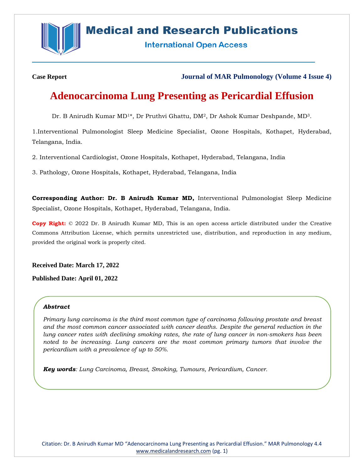

## **Medical and Research Publications**

**International Open Access** 

**Case Report Journal of MAR Pulmonology (Volume 4 Issue 4)**

# **Adenocarcinoma Lung Presenting as Pericardial Effusion**

Dr. B Anirudh Kumar MD<sup>1\*</sup>, Dr Pruthvi Ghattu, DM<sup>2</sup>, Dr Ashok Kumar Deshpande, MD<sup>3</sup>.

1.Interventional Pulmonologist Sleep Medicine Specialist, Ozone Hospitals, Kothapet, Hyderabad, Telangana, India.

2. Interventional Cardiologist, Ozone Hospitals, Kothapet, Hyderabad, Telangana, India

3. Pathology, Ozone Hospitals, Kothapet, Hyderabad, Telangana, India

**Corresponding Author: Dr. B Anirudh Kumar MD,** Interventional Pulmonologist Sleep Medicine Specialist, Ozone Hospitals, Kothapet, Hyderabad, Telangana, India.

**Copy Right:** © 2022 Dr. B Anirudh Kumar MD, This is an open access article distributed under the Creative Commons Attribution License, which permits unrestricted use, distribution, and reproduction in any medium, provided the original work is properly cited.

**Received Date: March 17, 2022**

**Published Date: April 01, 2022**

#### *Abstract*

*Primary lung carcinoma is the third most common type of carcinoma following prostate and breast and the most common cancer associated with cancer deaths. Despite the general reduction in the lung cancer rates with declining smoking rates, the rate of lung cancer in non-smokers has been noted to be increasing. Lung cancers are the most common primary tumors that involve the pericardium with a prevalence of up to 50%.*

*Key words: Lung Carcinoma, Breast, Smoking, Tumours, Pericardium, Cancer.*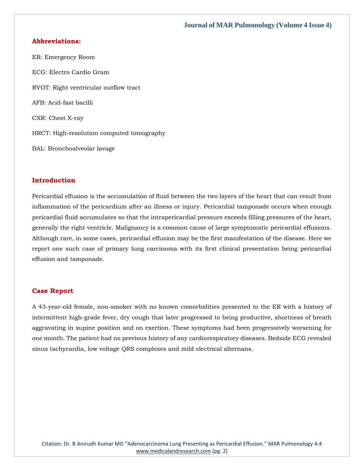#### **Journal of MAR Pulmonology (Volume 4 Issue 4)**

#### **Abbreviations:**

ER: Emergency Room ECG: Electro Cardio Gram RVOT: Right ventricular outflow tract AFB: Acid-fast bacilli CXR: Chest X-ray HRCT: High-resolution computed tomography BAL: Bronchoalveolar lavage

#### **Introduction**

Pericardial effusion is the accumulation of fluid between the two layers of the heart that can result from inflammation of the pericardium after an illness or injury. Pericardial tamponade occurs when enough pericardial fluid accumulates so that the intrapericardial pressure exceeds filling pressures of the heart, generally the right ventricle. Malignancy is a common cause of large symptomatic pericardial effusions. Although rare, in some cases, pericardial effusion may be the first manifestation of the disease. Here we report one such case of primary lung carcinoma with its first clinical presentation being pericardial effusion and tamponade.

#### **Case Report**

A 43-year-old female, non-smoker with no known comorbidities presented to the ER with a history of intermittent high-grade fever, dry cough that later progressed to being productive, shortness of breath aggravating in supine position and on exertion. These symptoms had been progressively worsening for one month. The patient had no previous history of any cardiorespiratory diseases. Bedside ECG revealed sinus tachycardia, low voltage QRS complexes and mild electrical alternans.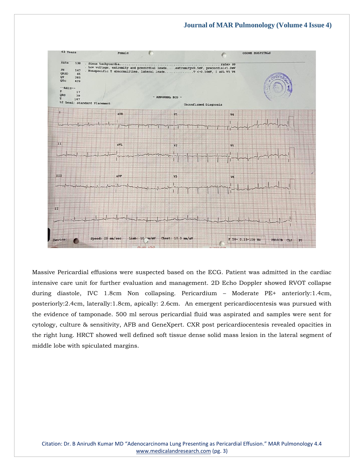

Massive Pericardial effusions were suspected based on the ECG. Patient was admitted in the cardiac intensive care unit for further evaluation and management. 2D Echo Doppler showed RVOT collapse during diastole, IVC 1.8cm Non collapsing. Pericardium – Moderate PE+ anteriorly:1.4cm, posteriorly:2.4cm, laterally:1.8cm, apically: 2.6cm. An emergent pericardiocentesis was pursued with the evidence of tamponade. 500 ml serous pericardial fluid was aspirated and samples were sent for cytology, culture & sensitivity, AFB and GeneXpert. CXR post pericardiocentesis revealed opacities in the right lung. HRCT showed well defined soft tissue dense solid mass lesion in the lateral segment of middle lobe with spiculated margins.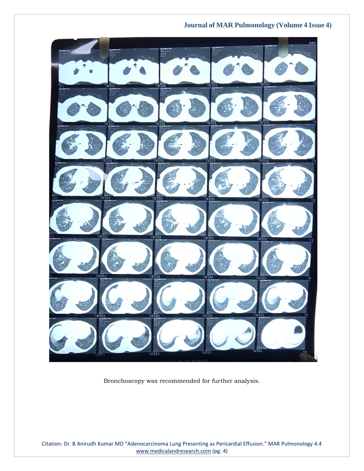### **Journal of MAR Pulmonology (Volume 4 Issue 4)**



Bronchoscopy was recommended for further analysis.

Citation: Dr. B Anirudh Kumar MD "Adenocarcinoma Lung Presenting as Pericardial Effusion." MAR Pulmonology 4.4 [www.medicalandresearch.com](http://www.medicalandresearch.com/) (pg. 4)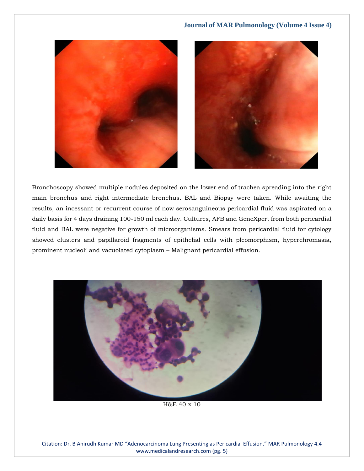



Bronchoscopy showed multiple nodules deposited on the lower end of trachea spreading into the right main bronchus and right intermediate bronchus. BAL and Biopsy were taken. While awaiting the results, an incessant or recurrent course of now serosanguineous pericardial fluid was aspirated on a daily basis for 4 days draining 100-150 ml each day. Cultures, AFB and GeneXpert from both pericardial fluid and BAL were negative for growth of microorganisms. Smears from pericardial fluid for cytology showed clusters and papillaroid fragments of epithelial cells with pleomorphism, hyperchromasia, prominent nucleoli and vacuolated cytoplasm – Malignant pericardial effusion.



H&E 40 x 10

Citation: Dr. B Anirudh Kumar MD "Adenocarcinoma Lung Presenting as Pericardial Effusion." MAR Pulmonology 4.4 [www.medicalandresearch.com](http://www.medicalandresearch.com/) (pg. 5)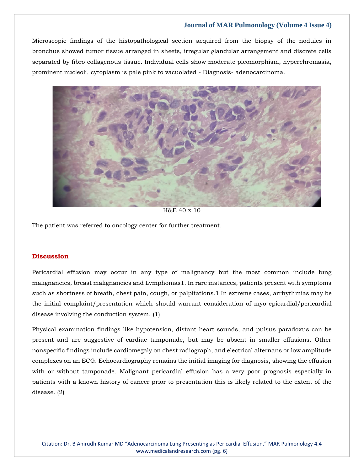#### **Journal of MAR Pulmonology (Volume 4 Issue 4)**

Microscopic findings of the histopathological section acquired from the biopsy of the nodules in bronchus showed tumor tissue arranged in sheets, irregular glandular arrangement and discrete cells separated by fibro collagenous tissue. Individual cells show moderate pleomorphism, hyperchromasia, prominent nucleoli, cytoplasm is pale pink to vacuolated - Diagnosis- adenocarcinoma.



H&E 40 x 10

The patient was referred to oncology center for further treatment.

#### **Discussion**

Pericardial effusion may occur in any type of malignancy but the most common include lung malignancies, breast malignancies and Lymphomas1. In rare instances, patients present with symptoms such as shortness of breath, chest pain, cough, or palpitations.1 In extreme cases, arrhythmias may be the initial complaint/presentation which should warrant consideration of myo-epicardial/pericardial disease involving the conduction system. (1)

Physical examination findings like hypotension, distant heart sounds, and pulsus paradoxus can be present and are suggestive of cardiac tamponade, but may be absent in smaller effusions. Other nonspecific findings include cardiomegaly on chest radiograph, and electrical alternans or low amplitude complexes on an ECG. Echocardiography remains the initial imaging for diagnosis, showing the effusion with or without tamponade. Malignant pericardial effusion has a very poor prognosis especially in patients with a known history of cancer prior to presentation this is likely related to the extent of the disease. (2)